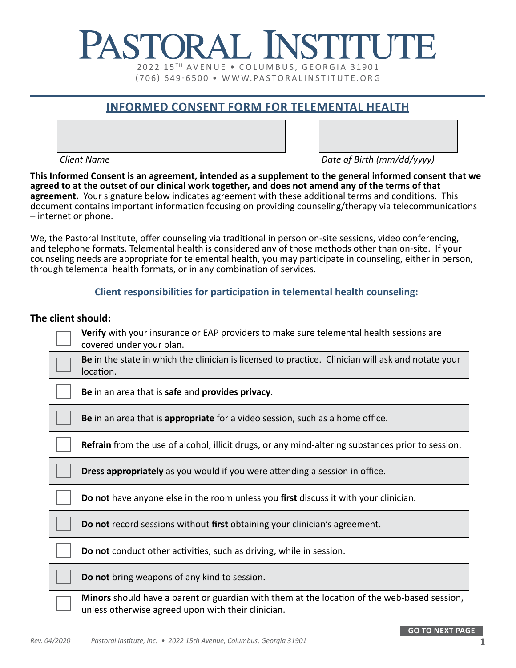# PASTORAL INSTITUT 2022 15TH AVENUE . COLUMBUS, GEORGIA 31901 (706) 649-6500 • WWW.PASTORALINSTITUTE.ORG

## **INFORMED CONSENT FORM FOR TELEMENTAL HEALTH**

*Client Name Date of Birth (mm/dd/yyyy)*

**This Informed Consent is an agreement, intended as a supplement to the general informed consent that we agreed to at the outset of our clinical work together, and does not amend any of the terms of that agreement.** Your signature below indicates agreement with these additional terms and conditions. This document contains important information focusing on providing counseling/therapy via telecommunications – internet or phone.

We, the Pastoral Institute, offer counseling via traditional in person on-site sessions, video conferencing, and telephone formats. Telemental health is considered any of those methods other than on-site. If your counseling needs are appropriate for telemental health, you may participate in counseling, either in person, through telemental health formats, or in any combination of services.

#### **Client responsibilities for participation in telemental health counseling:**

#### **The client should:**

| Verify with your insurance or EAP providers to make sure telemental health sessions are<br>covered under your plan.                                      |
|----------------------------------------------------------------------------------------------------------------------------------------------------------|
| Be in the state in which the clinician is licensed to practice. Clinician will ask and notate your<br>location.                                          |
| Be in an area that is safe and provides privacy.                                                                                                         |
| Be in an area that is appropriate for a video session, such as a home office.                                                                            |
| <b>Refrain</b> from the use of alcohol, illicit drugs, or any mind-altering substances prior to session.                                                 |
| Dress appropriately as you would if you were attending a session in office.                                                                              |
| Do not have anyone else in the room unless you first discuss it with your clinician.                                                                     |
| Do not record sessions without first obtaining your clinician's agreement.                                                                               |
| Do not conduct other activities, such as driving, while in session.                                                                                      |
| Do not bring weapons of any kind to session.                                                                                                             |
| <b>Minors</b> should have a parent or guardian with them at the location of the web-based session,<br>unless otherwise agreed upon with their clinician. |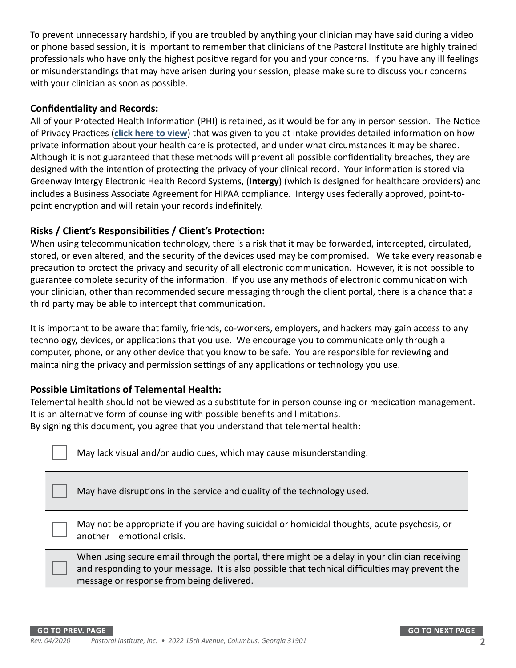To prevent unnecessary hardship, if you are troubled by anything your clinician may have said during a video or phone based session, it is important to remember that clinicians of the Pastoral Institute are highly trained professionals who have only the highest positive regard for you and your concerns. If you have any ill feelings or misunderstandings that may have arisen during your session, please make sure to discuss your concerns with your clinician as soon as possible.

#### **Confidentiality and Records:**

All of your Protected Health Information (PHI) is retained, as it would be for any in person session. The Notice of Privacy Practices (**[click here to view](https://pastoralinstitute.org/file_download/6bde56af-aeb1-4a91-a4ef-2f41dad3e070)**) that was given to you at intake provides detailed information on how private information about your health care is protected, and under what circumstances it may be shared. Although it is not guaranteed that these methods will prevent all possible confidentiality breaches, they are designed with the intention of protecting the privacy of your clinical record. Your information is stored via Greenway Intergy Electronic Health Record Systems, (**Intergy**) (which is designed for healthcare providers) and includes a Business Associate Agreement for HIPAA compliance. Intergy uses federally approved, point-topoint encryption and will retain your records indefinitely.

#### **Risks / Client's Responsibilities / Client's Protection:**

When using telecommunication technology, there is a risk that it may be forwarded, intercepted, circulated, stored, or even altered, and the security of the devices used may be compromised. We take every reasonable precaution to protect the privacy and security of all electronic communication. However, it is not possible to guarantee complete security of the information. If you use any methods of electronic communication with your clinician, other than recommended secure messaging through the client portal, there is a chance that a third party may be able to intercept that communication.

It is important to be aware that family, friends, co-workers, employers, and hackers may gain access to any technology, devices, or applications that you use. We encourage you to communicate only through a computer, phone, or any other device that you know to be safe. You are responsible for reviewing and maintaining the privacy and permission settings of any applications or technology you use.

#### **Possible Limitations of Telemental Health:**

Telemental health should not be viewed as a substitute for in person counseling or medication management. It is an alternative form of counseling with possible benefits and limitations.

By signing this document, you agree that you understand that telemental health:

May lack visual and/or audio cues, which may cause misunderstanding.

May have disruptions in the service and quality of the technology used.

May not be appropriate if you are having suicidal or homicidal thoughts, acute psychosis, or another emotional crisis.

When using secure email through the portal, there might be a delay in your clinician receiving and responding to your message. It is also possible that technical difficulties may prevent the message or response from being delivered.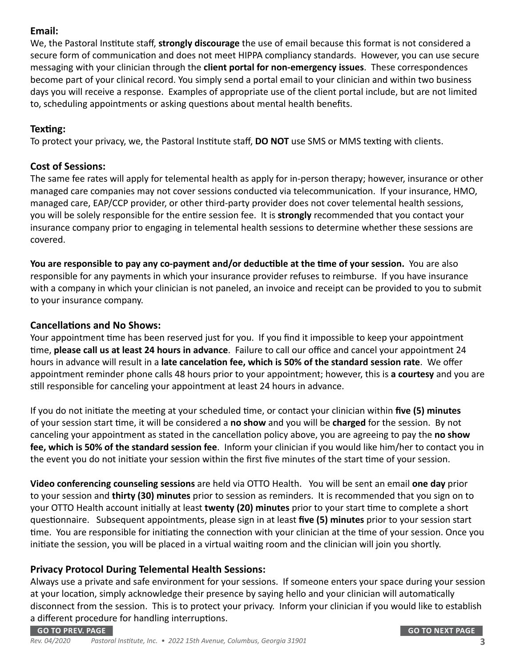#### **Email:**

We, the Pastoral Institute staff, **strongly discourage** the use of email because this format is not considered a secure form of communication and does not meet HIPPA compliancy standards. However, you can use secure messaging with your clinician through the **client portal for non-emergency issues**. These correspondences become part of your clinical record. You simply send a portal email to your clinician and within two business days you will receive a response. Examples of appropriate use of the client portal include, but are not limited to, scheduling appointments or asking questions about mental health benefits.

#### **Texting:**

To protect your privacy, we, the Pastoral Institute staff, **DO NOT** use SMS or MMS texting with clients.

#### **Cost of Sessions:**

The same fee rates will apply for telemental health as apply for in-person therapy; however, insurance or other managed care companies may not cover sessions conducted via telecommunication. If your insurance, HMO, managed care, EAP/CCP provider, or other third-party provider does not cover telemental health sessions, you will be solely responsible for the entire session fee. It is **strongly** recommended that you contact your insurance company prior to engaging in telemental health sessions to determine whether these sessions are covered.

**You are responsible to pay any co-payment and/or deductible at the time of your session.** You are also responsible for any payments in which your insurance provider refuses to reimburse. If you have insurance with a company in which your clinician is not paneled, an invoice and receipt can be provided to you to submit to your insurance company.

### **Cancellations and No Shows:**

Your appointment time has been reserved just for you. If you find it impossible to keep your appointment time, **please call us at least 24 hours in advance**. Failure to call our office and cancel your appointment 24 hours in advance will result in a **late cancelation fee, which is 50% of the standard session rate**. We offer appointment reminder phone calls 48 hours prior to your appointment; however, this is **a courtesy** and you are still responsible for canceling your appointment at least 24 hours in advance.

If you do not initiate the meeting at your scheduled time, or contact your clinician within **five (5) minutes** of your session start time, it will be considered a **no show** and you will be **charged** for the session. By not canceling your appointment as stated in the cancellation policy above, you are agreeing to pay the **no show fee, which is 50% of the standard session fee**. Inform your clinician if you would like him/her to contact you in the event you do not initiate your session within the first five minutes of the start time of your session.

**Video conferencing counseling sessions** are held via OTTO Health. You will be sent an email **one day** prior to your session and **thirty (30) minutes** prior to session as reminders. It is recommended that you sign on to your OTTO Health account initially at least **twenty (20) minutes** prior to your start time to complete a short questionnaire. Subsequent appointments, please sign in at least **five (5) minutes** prior to your session start time. You are responsible for initiating the connection with your clinician at the time of your session. Once you initiate the session, you will be placed in a virtual waiting room and the clinician will join you shortly.

### **Privacy Protocol During Telemental Health Sessions:**

Always use a private and safe environment for your sessions. If someone enters your space during your session at your location, simply acknowledge their presence by saying hello and your clinician will automatically disconnect from the session. This is to protect your privacy. Inform your clinician if you would like to establish a different procedure for handling interruptions.